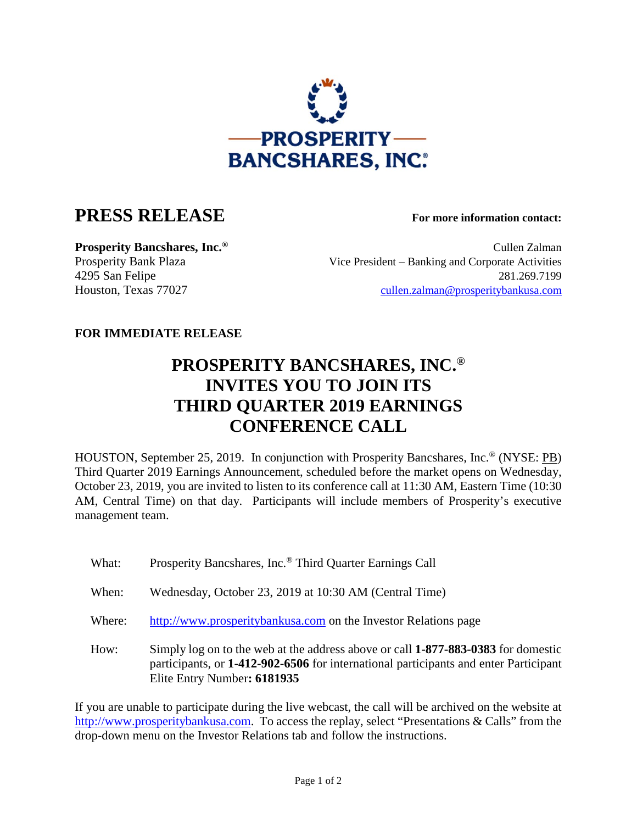

## **PRESS RELEASE For more information contact:**

**Prosperity Bancshares, Inc.<sup>®</sup> Cullen Zalman** Cullen Zalman Prosperity Bank Plaza Vice President – Banking and Corporate Activities 4295 San Felipe 281.269.7199 Houston, Texas 77027 [cullen.zalman@prosperitybankusa.com](mailto:cullen.zalman@prosperitybankusa.com)

## **FOR IMMEDIATE RELEASE**

## **PROSPERITY BANCSHARES, INC.® INVITES YOU TO JOIN ITS THIRD QUARTER 2019 EARNINGS CONFERENCE CALL**

HOUSTON, September 25, 2019. In conjunction with Prosperity Bancshares, Inc.® (NYSE: PB) Third Quarter 2019 Earnings Announcement, scheduled before the market opens on Wednesday, October 23, 2019, you are invited to listen to its conference call at 11:30 AM, Eastern Time (10:30 AM, Central Time) on that day. Participants will include members of Prosperity's executive management team.

- What: Prosperity Bancshares, Inc.<sup>®</sup> Third Quarter Earnings Call
- When: Wednesday, October 23, 2019 at 10:30 AM (Central Time)
- Where: http://www.prosperitybankusa.com on the Investor Relations page
- How: Simply log on to the web at the address above or call **1-877-883-0383** for domestic participants, or **1-412-902-6506** for international participants and enter Participant Elite Entry Number**: 6181935**

If you are unable to participate during the live webcast, the call will be archived on the website at http://www.prosperitybankusa.com. To access the replay, select "Presentations & Calls" from the drop-down menu on the Investor Relations tab and follow the instructions.